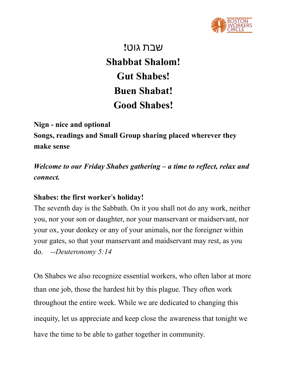

שבת גוט**! Shabbat Shalom! Gut Shabes! Buen Shabat! Good Shabes!**

**Nign - nice and optional Songs, readings and Small Group sharing placed wherever they make sense**

*Welcome to our Friday Shabes gathering – a time to reflect, relax and connect.*

## **Shabes: the first worker**'**s holiday!**

The seventh day is the Sabbath. On it you shall not do any work, neither you, nor your son or daughter, nor your manservant or maidservant, nor your ox, your donkey or any of your animals, nor the foreigner within your gates, so that your manservant and maidservant may rest, as you do. *--Deuteronomy 5:14*

On Shabes we also recognize essential workers, who often labor at more than one job, those the hardest hit by this plague. They often work throughout the entire week. While we are dedicated to changing this inequity, let us appreciate and keep close the awareness that tonight we have the time to be able to gather together in community.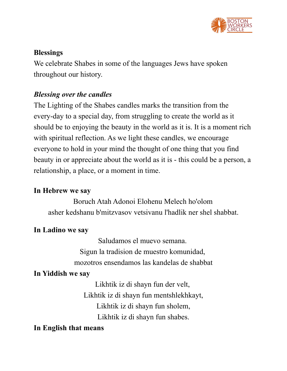

## **Blessings**

We celebrate Shabes in some of the languages Jews have spoken throughout our history.

# *Blessing over the candles*

The Lighting of the Shabes candles marks the transition from the every-day to a special day, from struggling to create the world as it should be to enjoying the beauty in the world as it is. It is a moment rich with spiritual reflection. As we light these candles, we encourage everyone to hold in your mind the thought of one thing that you find beauty in or appreciate about the world as it is - this could be a person, a relationship, a place, or a moment in time.

## **In Hebrew we say**

Boruch Atah Adonoi Elohenu Melech ho'olom asher kedshanu b'mitzvasov vetsivanu l'hadlik ner shel shabbat.

# **In Ladino we say**

Saludamos el muevo semana. Sigun la tradision de muestro komunidad, mozotros ensendamos las kandelas de shabbat

# **In Yiddish we say**

Likhtik iz di shayn fun der velt, Likhtik iz di shayn fun mentshlekhkayt, Likhtik iz di shayn fun sholem, Likhtik iz di shayn fun shabes.

## **In English that means**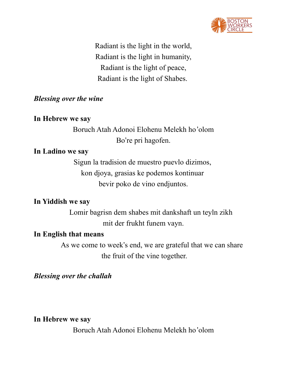

Radiant is the light in the world, Radiant is the light in humanity, Radiant is the light of peace, Radiant is the light of Shabes.

### *Blessing over the wine*

#### **In Hebrew we say**

Boruch Atah Adonoi Elohenu Melekh ho'olom Bo're pri hagofen.

#### **In Ladino we say**

Sigun la tradision de muestro puevlo dizimos, kon djoya, grasias ke podemos kontinuar bevir poko de vino endjuntos.

## **In Yiddish we say**

Lomir bagrisn dem shabes mit dankshaft un teyln zikh mit der frukht funem vayn.

#### **In English that means**

As we come to week's end, we are grateful that we can share the fruit of the vine together.

*Blessing over the challah*

**In Hebrew we say**

Boruch Atah Adonoi Elohenu Melekh ho'olom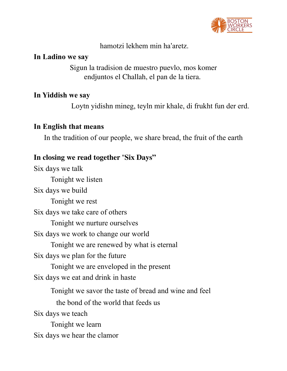

hamotzi lekhem min ha'aretz.

### **In Ladino we say**

Sigun la tradision de muestro puevlo, mos komer endjuntos el Challah, el pan de la tiera.

## **In Yiddish we say**

Loytn yidishn mineg, teyln mir khale, di frukht fun der erd.

## **In English that means**

In the tradition of our people, we share bread, the fruit of the earth

## **In closing we read together** "**Six Days"**

Six days we talk Tonight we listen Six days we build Tonight we rest Six days we take care of others Tonight we nurture ourselves Six days we work to change our world Tonight we are renewed by what is eternal Six days we plan for the future Tonight we are enveloped in the present Six days we eat and drink in haste Tonight we savor the taste of bread and wine and feel the bond of the world that feeds us Six days we teach Tonight we learn Six days we hear the clamor